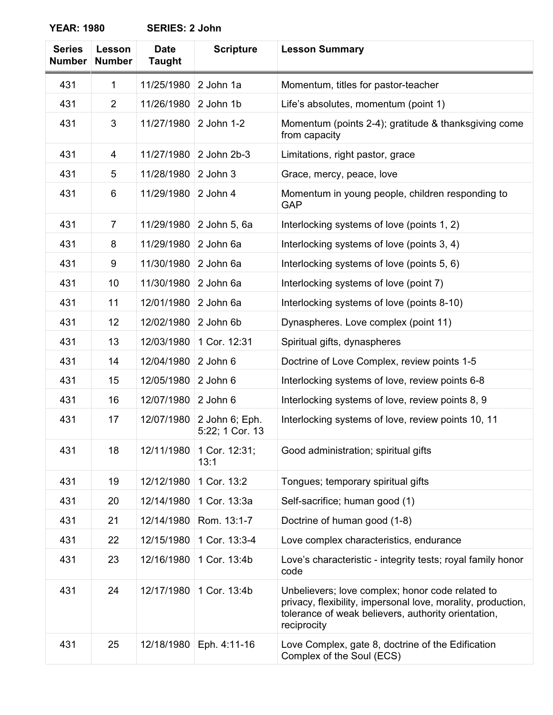**YEAR: 1980 SERIES: 2 John**

| <b>Series</b><br><b>Number</b> | <b>Lesson</b><br><b>Number</b> | <b>Date</b><br><b>Taught</b> | <b>Scripture</b>                  | <b>Lesson Summary</b>                                                                                                                                                                  |
|--------------------------------|--------------------------------|------------------------------|-----------------------------------|----------------------------------------------------------------------------------------------------------------------------------------------------------------------------------------|
| 431                            | 1                              | 11/25/1980                   | 2 John 1a                         | Momentum, titles for pastor-teacher                                                                                                                                                    |
| 431                            | 2                              | 11/26/1980                   | 2 John 1b                         | Life's absolutes, momentum (point 1)                                                                                                                                                   |
| 431                            | 3                              | 11/27/1980                   | 2 John 1-2                        | Momentum (points 2-4); gratitude & thanksgiving come<br>from capacity                                                                                                                  |
| 431                            | 4                              | 11/27/1980                   | 2 John 2b-3                       | Limitations, right pastor, grace                                                                                                                                                       |
| 431                            | 5                              | 11/28/1980                   | 2 John 3                          | Grace, mercy, peace, love                                                                                                                                                              |
| 431                            | 6                              | 11/29/1980                   | 2 John 4                          | Momentum in young people, children responding to<br><b>GAP</b>                                                                                                                         |
| 431                            | $\overline{7}$                 | 11/29/1980                   | 2 John 5, 6a                      | Interlocking systems of love (points 1, 2)                                                                                                                                             |
| 431                            | 8                              | 11/29/1980                   | 2 John 6a                         | Interlocking systems of love (points 3, 4)                                                                                                                                             |
| 431                            | 9                              | 11/30/1980                   | 2 John 6a                         | Interlocking systems of love (points 5, 6)                                                                                                                                             |
| 431                            | 10                             | 11/30/1980                   | 2 John 6a                         | Interlocking systems of love (point 7)                                                                                                                                                 |
| 431                            | 11                             | 12/01/1980                   | 2 John 6a                         | Interlocking systems of love (points 8-10)                                                                                                                                             |
| 431                            | 12                             | 12/02/1980                   | 2 John 6b                         | Dynaspheres. Love complex (point 11)                                                                                                                                                   |
| 431                            | 13                             | 12/03/1980                   | 1 Cor. 12:31                      | Spiritual gifts, dynaspheres                                                                                                                                                           |
| 431                            | 14                             | 12/04/1980                   | 2 John 6                          | Doctrine of Love Complex, review points 1-5                                                                                                                                            |
| 431                            | 15                             | 12/05/1980                   | 2 John 6                          | Interlocking systems of love, review points 6-8                                                                                                                                        |
| 431                            | 16                             | 12/07/1980                   | 2 John 6                          | Interlocking systems of love, review points 8, 9                                                                                                                                       |
| 431                            | 17                             | 12/07/1980                   | 2 John 6; Eph.<br>5:22; 1 Cor. 13 | Interlocking systems of love, review points 10, 11                                                                                                                                     |
| 431                            | 18                             | 12/11/1980                   | 1 Cor. 12:31;<br>13:1             | Good administration; spiritual gifts                                                                                                                                                   |
| 431                            | 19                             | 12/12/1980                   | 1 Cor. 13:2                       | Tongues; temporary spiritual gifts                                                                                                                                                     |
| 431                            | 20                             | 12/14/1980                   | 1 Cor. 13:3a                      | Self-sacrifice; human good (1)                                                                                                                                                         |
| 431                            | 21                             | 12/14/1980                   | Rom. 13:1-7                       | Doctrine of human good (1-8)                                                                                                                                                           |
| 431                            | 22                             | 12/15/1980                   | 1 Cor. 13:3-4                     | Love complex characteristics, endurance                                                                                                                                                |
| 431                            | 23                             | 12/16/1980                   | 1 Cor. 13:4b                      | Love's characteristic - integrity tests; royal family honor<br>code                                                                                                                    |
| 431                            | 24                             | 12/17/1980                   | 1 Cor. 13:4b                      | Unbelievers; love complex; honor code related to<br>privacy, flexibility, impersonal love, morality, production,<br>tolerance of weak believers, authority orientation,<br>reciprocity |
| 431                            | 25                             | 12/18/1980                   | Eph. 4:11-16                      | Love Complex, gate 8, doctrine of the Edification<br>Complex of the Soul (ECS)                                                                                                         |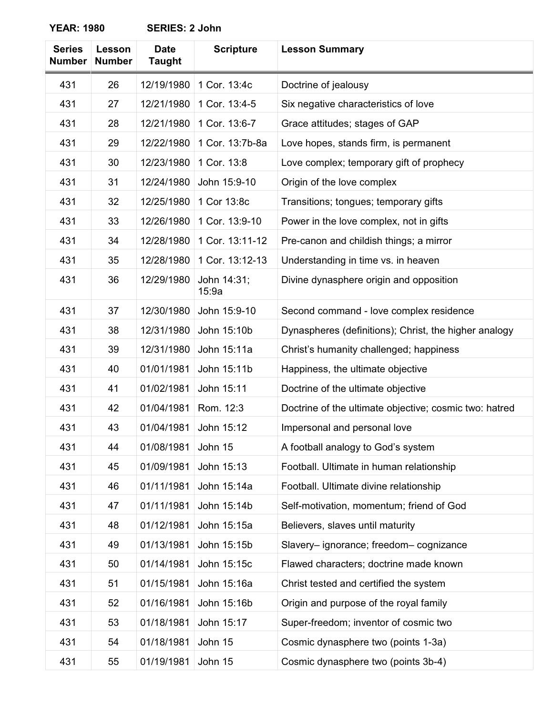**YEAR: 1980 SERIES: 2 John**

| <b>Series</b><br><b>Number</b> | Lesson<br><b>Number</b> | <b>Date</b><br><b>Taught</b> | <b>Scripture</b>     | <b>Lesson Summary</b>                                  |
|--------------------------------|-------------------------|------------------------------|----------------------|--------------------------------------------------------|
| 431                            | 26                      | 12/19/1980                   | 1 Cor. 13:4c         | Doctrine of jealousy                                   |
| 431                            | 27                      | 12/21/1980                   | 1 Cor. 13:4-5        | Six negative characteristics of love                   |
| 431                            | 28                      | 12/21/1980                   | 1 Cor. 13:6-7        | Grace attitudes; stages of GAP                         |
| 431                            | 29                      | 12/22/1980                   | 1 Cor. 13:7b-8a      | Love hopes, stands firm, is permanent                  |
| 431                            | 30                      | 12/23/1980                   | 1 Cor. 13:8          | Love complex; temporary gift of prophecy               |
| 431                            | 31                      | 12/24/1980                   | John 15:9-10         | Origin of the love complex                             |
| 431                            | 32                      | 12/25/1980                   | 1 Cor 13:8c          | Transitions; tongues; temporary gifts                  |
| 431                            | 33                      | 12/26/1980                   | 1 Cor. 13:9-10       | Power in the love complex, not in gifts                |
| 431                            | 34                      | 12/28/1980                   | 1 Cor. 13:11-12      | Pre-canon and childish things; a mirror                |
| 431                            | 35                      | 12/28/1980                   | 1 Cor. 13:12-13      | Understanding in time vs. in heaven                    |
| 431                            | 36                      | 12/29/1980                   | John 14:31;<br>15:9a | Divine dynasphere origin and opposition                |
| 431                            | 37                      | 12/30/1980                   | John 15:9-10         | Second command - love complex residence                |
| 431                            | 38                      | 12/31/1980                   | John 15:10b          | Dynaspheres (definitions); Christ, the higher analogy  |
| 431                            | 39                      | 12/31/1980                   | John 15:11a          | Christ's humanity challenged; happiness                |
| 431                            | 40                      | 01/01/1981                   | John 15:11b          | Happiness, the ultimate objective                      |
| 431                            | 41                      | 01/02/1981                   | John 15:11           | Doctrine of the ultimate objective                     |
| 431                            | 42                      | 01/04/1981                   | Rom. 12:3            | Doctrine of the ultimate objective; cosmic two: hatred |
| 431                            | 43                      | 01/04/1981                   | John 15:12           | Impersonal and personal love                           |
| 431                            | 44                      | 01/08/1981                   | John 15              | A football analogy to God's system                     |
| 431                            | 45                      | 01/09/1981                   | John 15:13           | Football. Ultimate in human relationship               |
| 431                            | 46                      | 01/11/1981                   | John 15:14a          | Football. Ultimate divine relationship                 |
| 431                            | 47                      | 01/11/1981                   | John 15:14b          | Self-motivation, momentum; friend of God               |
| 431                            | 48                      | 01/12/1981                   | John 15:15a          | Believers, slaves until maturity                       |
| 431                            | 49                      | 01/13/1981                   | John 15:15b          | Slavery-ignorance; freedom-cognizance                  |
| 431                            | 50                      | 01/14/1981                   | John 15:15c          | Flawed characters; doctrine made known                 |
| 431                            | 51                      | 01/15/1981                   | John 15:16a          | Christ tested and certified the system                 |
| 431                            | 52                      | 01/16/1981                   | John 15:16b          | Origin and purpose of the royal family                 |
| 431                            | 53                      | 01/18/1981                   | John 15:17           | Super-freedom; inventor of cosmic two                  |
| 431                            | 54                      | 01/18/1981                   | John 15              | Cosmic dynasphere two (points 1-3a)                    |
| 431                            | 55                      | 01/19/1981                   | John 15              | Cosmic dynasphere two (points 3b-4)                    |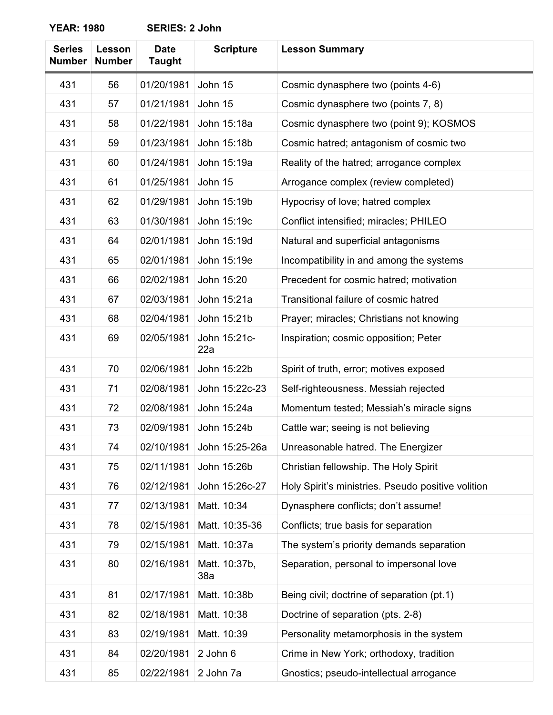**YEAR: 1980 SERIES: 2 John**

| <b>Series</b><br><b>Number</b> | <b>Lesson</b><br><b>Number</b> | <b>Date</b><br><b>Taught</b> | <b>Scripture</b>     | <b>Lesson Summary</b>                              |
|--------------------------------|--------------------------------|------------------------------|----------------------|----------------------------------------------------|
| 431                            | 56                             | 01/20/1981                   | John 15              | Cosmic dynasphere two (points 4-6)                 |
| 431                            | 57                             | 01/21/1981                   | John 15              | Cosmic dynasphere two (points 7, 8)                |
| 431                            | 58                             | 01/22/1981                   | John 15:18a          | Cosmic dynasphere two (point 9); KOSMOS            |
| 431                            | 59                             | 01/23/1981                   | John 15:18b          | Cosmic hatred; antagonism of cosmic two            |
| 431                            | 60                             | 01/24/1981                   | John 15:19a          | Reality of the hatred; arrogance complex           |
| 431                            | 61                             | 01/25/1981                   | John 15              | Arrogance complex (review completed)               |
| 431                            | 62                             | 01/29/1981                   | John 15:19b          | Hypocrisy of love; hatred complex                  |
| 431                            | 63                             | 01/30/1981                   | John 15:19c          | Conflict intensified; miracles; PHILEO             |
| 431                            | 64                             | 02/01/1981                   | John 15:19d          | Natural and superficial antagonisms                |
| 431                            | 65                             | 02/01/1981                   | John 15:19e          | Incompatibility in and among the systems           |
| 431                            | 66                             | 02/02/1981                   | John 15:20           | Precedent for cosmic hatred; motivation            |
| 431                            | 67                             | 02/03/1981                   | John 15:21a          | Transitional failure of cosmic hatred              |
| 431                            | 68                             | 02/04/1981                   | John 15:21b          | Prayer; miracles; Christians not knowing           |
| 431                            | 69                             | 02/05/1981                   | John 15:21c-<br>22a  | Inspiration; cosmic opposition; Peter              |
| 431                            | 70                             | 02/06/1981                   | John 15:22b          | Spirit of truth, error; motives exposed            |
| 431                            | 71                             | 02/08/1981                   | John 15:22c-23       | Self-righteousness. Messiah rejected               |
| 431                            | 72                             | 02/08/1981                   | John 15:24a          | Momentum tested; Messiah's miracle signs           |
| 431                            | 73                             | 02/09/1981                   | John 15:24b          | Cattle war; seeing is not believing                |
| 431                            | 74                             | 02/10/1981                   | John 15:25-26a       | Unreasonable hatred. The Energizer                 |
| 431                            | 75                             | 02/11/1981                   | John 15:26b          | Christian fellowship. The Holy Spirit              |
| 431                            | 76                             | 02/12/1981                   | John 15:26c-27       | Holy Spirit's ministries. Pseudo positive volition |
| 431                            | 77                             | 02/13/1981                   | Matt. 10:34          | Dynasphere conflicts; don't assume!                |
| 431                            | 78                             | 02/15/1981                   | Matt. 10:35-36       | Conflicts; true basis for separation               |
| 431                            | 79                             | 02/15/1981                   | Matt. 10:37a         | The system's priority demands separation           |
| 431                            | 80                             | 02/16/1981                   | Matt. 10:37b,<br>38a | Separation, personal to impersonal love            |
| 431                            | 81                             | 02/17/1981                   | Matt. 10:38b         | Being civil; doctrine of separation (pt.1)         |
| 431                            | 82                             | 02/18/1981                   | Matt. 10:38          | Doctrine of separation (pts. 2-8)                  |
| 431                            | 83                             | 02/19/1981                   | Matt. 10:39          | Personality metamorphosis in the system            |
| 431                            | 84                             | 02/20/1981                   | 2 John 6             | Crime in New York; orthodoxy, tradition            |
| 431                            | 85                             | 02/22/1981                   | 2 John 7a            | Gnostics; pseudo-intellectual arrogance            |